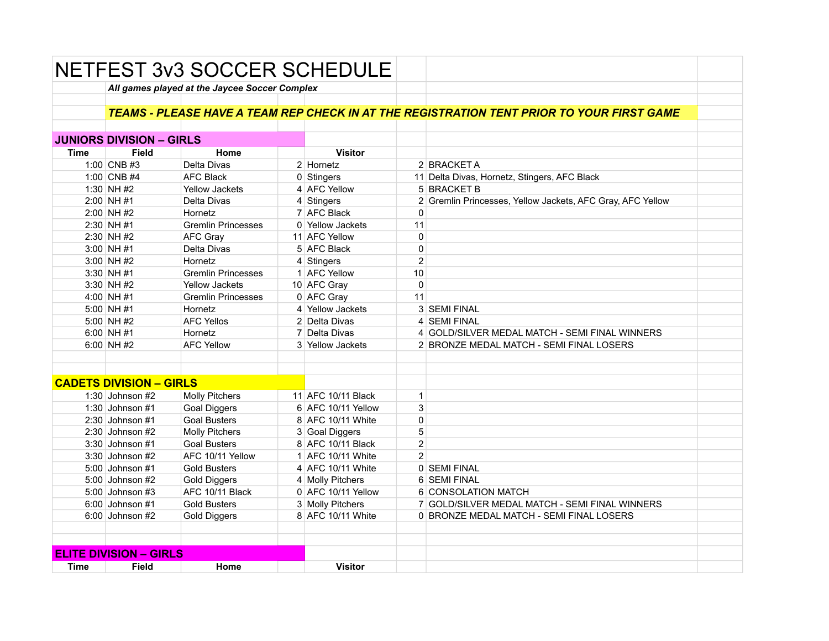|                               |                                 | <b>NETFEST 3v3 SOCCER SCHEDULE</b>            |  |                    |                |                                                                                                  |  |  |  |  |
|-------------------------------|---------------------------------|-----------------------------------------------|--|--------------------|----------------|--------------------------------------------------------------------------------------------------|--|--|--|--|
|                               |                                 | All games played at the Jaycee Soccer Complex |  |                    |                |                                                                                                  |  |  |  |  |
|                               |                                 |                                               |  |                    |                |                                                                                                  |  |  |  |  |
|                               |                                 |                                               |  |                    |                | <b>TEAMS - PLEASE HAVE A TEAM REP CHECK IN AT THE REGISTRATION TENT PRIOR TO YOUR FIRST GAME</b> |  |  |  |  |
|                               |                                 |                                               |  |                    |                |                                                                                                  |  |  |  |  |
|                               | <b>JUNIORS DIVISION - GIRLS</b> |                                               |  |                    |                |                                                                                                  |  |  |  |  |
| <b>Time</b>                   | <b>Field</b>                    | Home                                          |  | <b>Visitor</b>     |                |                                                                                                  |  |  |  |  |
|                               | 1:00 CNB #3                     | Delta Divas                                   |  | $2$ Hornetz        |                | 2 BRACKET A                                                                                      |  |  |  |  |
|                               | 1:00 CNB #4                     | <b>AFC Black</b>                              |  | 0 Stingers         |                | 11 Delta Divas, Hornetz, Stingers, AFC Black                                                     |  |  |  |  |
|                               | 1:30 NH #2                      | <b>Yellow Jackets</b>                         |  | 4 AFC Yellow       |                | 5 BRACKET B                                                                                      |  |  |  |  |
|                               | $2:00$ NH #1                    | Delta Divas                                   |  | 4 Stingers         |                | 2 Gremlin Princesses, Yellow Jackets, AFC Gray, AFC Yellow                                       |  |  |  |  |
|                               | $2:00$ NH #2                    | Hornetz                                       |  | 7 AFC Black        | 0              |                                                                                                  |  |  |  |  |
|                               | $2:30$ NH #1                    | <b>Gremlin Princesses</b>                     |  | 0 Yellow Jackets   | 11             |                                                                                                  |  |  |  |  |
|                               | $2:30$ NH #2                    | <b>AFC Gray</b>                               |  | 11 AFC Yellow      | 0              |                                                                                                  |  |  |  |  |
|                               | $3:00$ NH #1                    | Delta Divas                                   |  | 5 AFC Black        | $\mathbf 0$    |                                                                                                  |  |  |  |  |
|                               | $3:00$ NH #2                    | Hornetz                                       |  | $4$ Stingers       | $\overline{2}$ |                                                                                                  |  |  |  |  |
|                               | $3:30$ NH #1                    | <b>Gremlin Princesses</b>                     |  | 1 AFC Yellow       | 10             |                                                                                                  |  |  |  |  |
|                               | $3:30$ NH #2                    | <b>Yellow Jackets</b>                         |  | 10 AFC Gray        | $\Omega$       |                                                                                                  |  |  |  |  |
|                               | 4:00 NH #1                      | <b>Gremlin Princesses</b>                     |  | 0 AFC Gray         | 11             |                                                                                                  |  |  |  |  |
|                               | $5:00$ NH #1                    | Hornetz                                       |  | 4 Yellow Jackets   |                | 3 SEMI FINAL                                                                                     |  |  |  |  |
|                               | 5:00 NH #2                      | <b>AFC Yellos</b>                             |  | 2 Delta Divas      |                | 4 SEMI FINAL                                                                                     |  |  |  |  |
|                               | 6:00 NH#1                       | Hornetz                                       |  | 7 Delta Divas      |                | 4 GOLD/SILVER MEDAL MATCH - SEMI FINAL WINNERS                                                   |  |  |  |  |
|                               | $6:00$ NH #2                    | <b>AFC Yellow</b>                             |  | 3 Yellow Jackets   |                | 2 BRONZE MEDAL MATCH - SEMI FINAL LOSERS                                                         |  |  |  |  |
|                               |                                 |                                               |  |                    |                |                                                                                                  |  |  |  |  |
|                               |                                 |                                               |  |                    |                |                                                                                                  |  |  |  |  |
|                               | <b>CADETS DIVISION - GIRLS</b>  |                                               |  |                    |                |                                                                                                  |  |  |  |  |
|                               | 1:30 Johnson $#2$               | <b>Molly Pitchers</b>                         |  | 11 AFC 10/11 Black | $\mathbf{1}$   |                                                                                                  |  |  |  |  |
|                               | 1:30 Johnson $#1$               | <b>Goal Diggers</b>                           |  | 6 AFC 10/11 Yellow | 3              |                                                                                                  |  |  |  |  |
|                               | $2:30$ Johnson #1               | <b>Goal Busters</b>                           |  | 8 AFC 10/11 White  | $\mathbf 0$    |                                                                                                  |  |  |  |  |
|                               | $2:30$ Johnson #2               | <b>Molly Pitchers</b>                         |  | 3 Goal Diggers     | 5              |                                                                                                  |  |  |  |  |
|                               | 3:30 Johnson #1                 | <b>Goal Busters</b>                           |  | 8 AFC 10/11 Black  | $\overline{2}$ |                                                                                                  |  |  |  |  |
|                               | $3:30$ Johnson #2               | AFC 10/11 Yellow                              |  | 1 AFC 10/11 White  | $\overline{2}$ |                                                                                                  |  |  |  |  |
|                               | 5:00 Johnson #1                 | <b>Gold Busters</b>                           |  | 4 AFC 10/11 White  |                | 0 SEMI FINAL                                                                                     |  |  |  |  |
|                               | $5:00$ Johnson #2               | <b>Gold Diggers</b>                           |  | 4 Molly Pitchers   |                | 6 SEMI FINAL                                                                                     |  |  |  |  |
|                               | $5:00$ Johnson #3               | AFC 10/11 Black                               |  | 0 AFC 10/11 Yellow |                | 6 CONSOLATION MATCH                                                                              |  |  |  |  |
|                               | $6:00$ Johnson #1               | <b>Gold Busters</b>                           |  | 3 Molly Pitchers   |                | 7 GOLD/SILVER MEDAL MATCH - SEMI FINAL WINNERS                                                   |  |  |  |  |
|                               | 6:00 Johnson #2                 | <b>Gold Diggers</b>                           |  | 8 AFC 10/11 White  |                | 0 BRONZE MEDAL MATCH - SEMI FINAL LOSERS                                                         |  |  |  |  |
|                               |                                 |                                               |  |                    |                |                                                                                                  |  |  |  |  |
|                               |                                 |                                               |  |                    |                |                                                                                                  |  |  |  |  |
| <b>ELITE DIVISION - GIRLS</b> |                                 |                                               |  |                    |                |                                                                                                  |  |  |  |  |
| <b>Time</b>                   | <b>Field</b>                    | Home                                          |  | <b>Visitor</b>     |                |                                                                                                  |  |  |  |  |